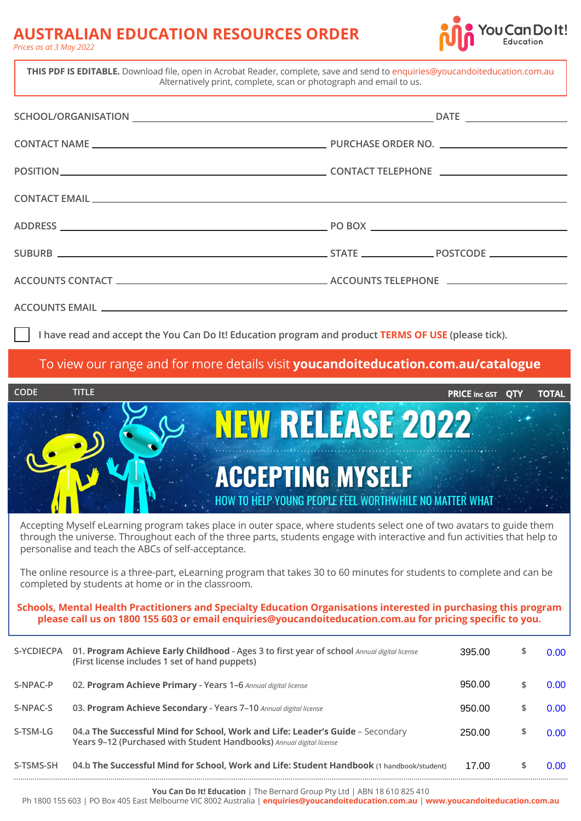## **AUSTRALIAN EDUCATION RESOURCES ORDER**

*Prices as at 3 May 2022*

|                                                                                                                                                                                                                                | THIS PDF IS EDITABLE. Download file, open in Acrobat Reader, complete, save and send to enquiries@youcandoiteducation.com.au<br>Alternatively print, complete, scan or photograph and email to us.                                                  |
|--------------------------------------------------------------------------------------------------------------------------------------------------------------------------------------------------------------------------------|-----------------------------------------------------------------------------------------------------------------------------------------------------------------------------------------------------------------------------------------------------|
|                                                                                                                                                                                                                                |                                                                                                                                                                                                                                                     |
|                                                                                                                                                                                                                                |                                                                                                                                                                                                                                                     |
|                                                                                                                                                                                                                                |                                                                                                                                                                                                                                                     |
| CONTACT EMAIL LEADER AND A SERVICE SERVICE SERVICE SERVICE SERVICE SERVICE SERVICE SERVICE SERVICE SERVICE SERVICE SERVICE SERVICE SERVICE SERVICE SERVICE SERVICE SERVICE SERVICE SERVICE SERVICE SERVICE SERVICE SERVICE SER |                                                                                                                                                                                                                                                     |
|                                                                                                                                                                                                                                |                                                                                                                                                                                                                                                     |
|                                                                                                                                                                                                                                |                                                                                                                                                                                                                                                     |
|                                                                                                                                                                                                                                |                                                                                                                                                                                                                                                     |
|                                                                                                                                                                                                                                |                                                                                                                                                                                                                                                     |
|                                                                                                                                                                                                                                | I have read and accept the You Can Do It! Education program and product TERMS OF USE (please tick).                                                                                                                                                 |
|                                                                                                                                                                                                                                | To view our range and for more details visit youcandoiteducation.com.au/catalogue                                                                                                                                                                   |
| <b>CODE</b><br><b>TITLE</b>                                                                                                                                                                                                    | PRICE inc GST QTY<br><b>TOTAL</b>                                                                                                                                                                                                                   |
|                                                                                                                                                                                                                                | <b>NEW RELEASE 2022</b><br><b>ACCEPTING MYSELF</b><br>HOW TO HELP YOUNG PEOPLE FEEL WORTHWHILE NO MATTER WHAT                                                                                                                                       |
| personalise and teach the ABCs of self-acceptance.                                                                                                                                                                             | Accepting Myself eLearning program takes place in outer space, where students select one of two avatars to guide them<br>through the universe. Throughout each of the three parts, students engage with interactive and fun activities that help to |

The online resource is a three-part, eLearning program that takes 30 to 60 minutes for students to complete and can be completed by students at home or in the classroom.

**Schools, Mental Health Practitioners and Specialty Education Organisations interested in purchasing this program please call us on 1800 155 603 or email enquiries@youcandoiteducation.com.au for pricing specific to you.**

| S-YCDIECPA | 01. Program Achieve Early Childhood - Ages 3 to first year of school Annual digital license<br>(First license includes 1 set of hand puppets)          | 395.00 | 0.00 |
|------------|--------------------------------------------------------------------------------------------------------------------------------------------------------|--------|------|
| S-NPAC-P   | 02. Program Achieve Primary - Years 1–6 Annual digital license                                                                                         | 950.00 | 0.00 |
| S-NPAC-S   | 03. Program Achieve Secondary - Years 7-10 Annual digital license                                                                                      | 950.00 | 0.00 |
| S-TSM-LG   | 04.a The Successful Mind for School, Work and Life: Leader's Guide - Secondary<br>Years 9-12 (Purchased with Student Handbooks) Annual digital license | 250.00 | 0.00 |
| S-TSMS-SH  | 04.b The Successful Mind for School, Work and Life: Student Handbook (1 handbook/student)                                                              | 17.00  | 0.00 |

**You Can Do It! Education** | The Bernard Group Pty Ltd | ABN 18 610 825 410

Ph 1800 155 603 | PO Box 405 East Melbourne VIC 8002 Australia | **[enquiries@youcandoiteducation.com.au](mailto:enquiries@youcandoiteducation.com.au)** | **[www.youcandoiteducation.com.au](https://www.youcandoiteducation.com.au)**